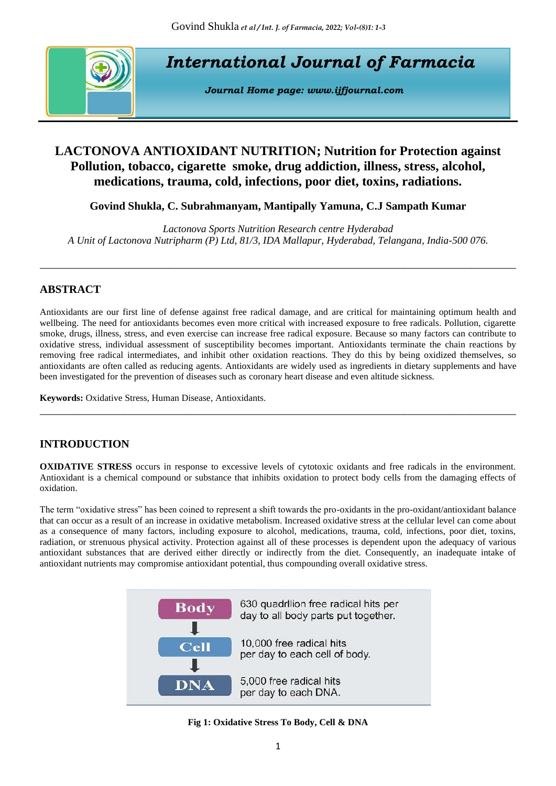

*International Journal of Farmacia*

*Journal Home page: [www.ijfjournal.com](http://www.ijfjournal.com/)*

# **LACTONOVA ANTIOXIDANT NUTRITION; Nutrition for Protection against Pollution, tobacco, cigarette smoke, drug addiction, illness, stress, alcohol, medications, trauma, cold, infections, poor diet, toxins, radiations.**

**Govind Shukla, C. Subrahmanyam, Mantipally Yamuna, C.J Sampath Kumar**

*Lactonova Sports Nutrition Research centre Hyderabad A Unit of Lactonova Nutripharm (P) Ltd, 81/3, IDA Mallapur, Hyderabad, Telangana, India-500 076.*

\_\_\_\_\_\_\_\_\_\_\_\_\_\_\_\_\_\_\_\_\_\_\_\_\_\_\_\_\_\_\_\_\_\_\_\_\_\_\_\_\_\_\_\_\_\_\_\_\_\_\_\_\_\_\_\_\_\_\_\_\_\_\_\_\_\_\_\_\_\_\_\_\_\_\_\_\_\_\_\_\_\_\_\_\_

# **ABSTRACT**

Antioxidants are our first line of defense against free radical damage, and are critical for maintaining optimum health and wellbeing. The need for antioxidants becomes even more critical with increased exposure to free radicals. Pollution, cigarette smoke, drugs, illness, stress, and even exercise can increase free radical exposure. Because so many factors can contribute to oxidative stress, individual assessment of susceptibility becomes important. Antioxidants terminate the chain reactions by removing free radical intermediates, and inhibit other oxidation reactions. They do this by being oxidized themselves, so antioxidants are often called as reducing agents. Antioxidants are widely used as ingredients in dietary supplements and have been investigated for the prevention of diseases such as coronary heart disease and even altitude sickness.

\_\_\_\_\_\_\_\_\_\_\_\_\_\_\_\_\_\_\_\_\_\_\_\_\_\_\_\_\_\_\_\_\_\_\_\_\_\_\_\_\_\_\_\_\_\_\_\_\_\_\_\_\_\_\_\_\_\_\_\_\_\_\_\_\_\_\_\_\_\_\_\_\_\_\_\_\_\_\_\_\_\_\_\_\_

**Keywords:** Oxidative Stress, Human Disease, Antioxidants.

# **INTRODUCTION**

**OXIDATIVE STRESS** occurs in response to excessive levels of cytotoxic oxidants and free radicals in the environment. Antioxidant is a chemical compound or substance that inhibits oxidation to protect body cells from the damaging effects of oxidation.

The term "oxidative stress" has been coined to represent a shift towards the pro-oxidants in the pro-oxidant/antioxidant balance that can occur as a result of an increase in oxidative metabolism. Increased oxidative stress at the cellular level can come about as a consequence of many factors, including exposure to alcohol, medications, trauma, cold, infections, poor diet, toxins, radiation, or strenuous physical activity. Protection against all of these processes is dependent upon the adequacy of various antioxidant substances that are derived either directly or indirectly from the diet. Consequently, an inadequate intake of antioxidant nutrients may compromise antioxidant potential, thus compounding overall oxidative stress.



## **Fig 1: Oxidative Stress To Body, Cell & DNA**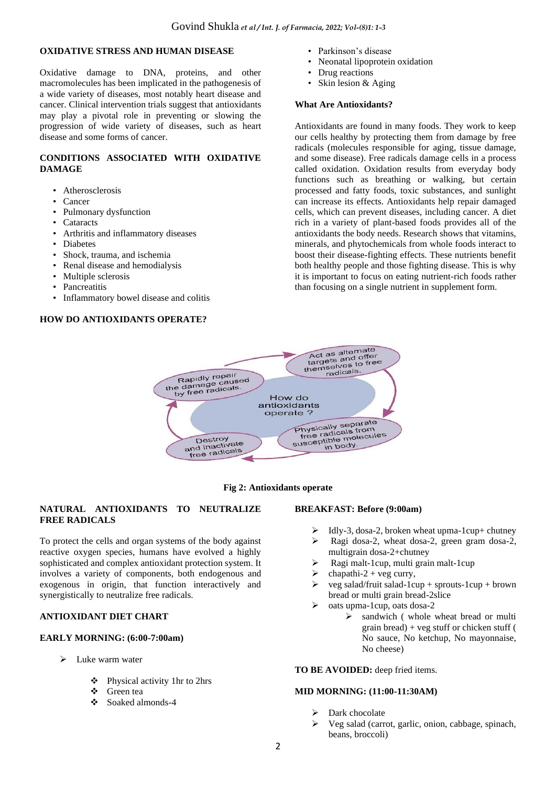## **OXIDATIVE STRESS AND HUMAN DISEASE**

Oxidative damage to DNA, proteins, and other macromolecules has been implicated in the pathogenesis of a wide variety of diseases, most notably heart disease and cancer. Clinical intervention trials suggest that antioxidants may play a pivotal role in preventing or slowing the progression of wide variety of diseases, such as heart disease and some forms of cancer.

## **CONDITIONS ASSOCIATED WITH OXIDATIVE DAMAGE**

- Atherosclerosis
- Cancer
- Pulmonary dysfunction
- Cataracts
- Arthritis and inflammatory diseases
- Diabetes
- Shock, trauma, and ischemia
- Renal disease and hemodialysis
- Multiple sclerosis
- Pancreatitis
- Inflammatory bowel disease and colitis

## **HOW DO ANTIOXIDANTS OPERATE?**

- Parkinson's disease
- Neonatal lipoprotein oxidation
- Drug reactions
- Skin lesion & Aging

#### **What Are Antioxidants?**

Antioxidants are found in many foods. They work to keep our cells healthy by protecting them from damage by free radicals (molecules responsible for aging, tissue damage, and some disease). Free radicals damage cells in a process called oxidation. Oxidation results from everyday body functions such as breathing or walking, but certain processed and fatty foods, toxic substances, and sunlight can increase its effects. Antioxidants help repair damaged cells, which can prevent diseases, including cancer. A diet rich in a variety of plant-based foods provides all of the antioxidants the body needs. Research shows that vitamins, minerals, and phytochemicals from whole foods interact to boost their disease-fighting effects. These nutrients benefit both healthy people and those fighting disease. This is why it is important to focus on eating nutrient-rich foods rather than focusing on a single nutrient in supplement form.





## **NATURAL ANTIOXIDANTS TO NEUTRALIZE FREE RADICALS**

To protect the cells and organ systems of the body against reactive oxygen species, humans have evolved a highly sophisticated and complex antioxidant protection system. It involves a variety of components, both endogenous and exogenous in origin, that function interactively and synergistically to neutralize free radicals.

## **ANTIOXIDANT DIET CHART**

### **EARLY MORNING: (6:00-7:00am)**

- ➢ Luke warm water
	- ❖ Physical activity 1hr to 2hrs
	- ❖ Green tea
	- ❖ Soaked almonds-4

### **BREAKFAST: Before (9:00am)**

- $\triangleright$  Idly-3, dosa-2, broken wheat upma-1cup+ chutney
- ➢ Ragi dosa-2, wheat dosa-2, green gram dosa-2, multigrain dosa-2+chutney
- ➢ Ragi malt-1cup, multi grain malt-1cup
- $chapathi-2 + veg curry,$
- ➢ veg salad/fruit salad-1cup + sprouts-1cup + brown bread or multi grain bread-2slice
- $\triangleright$  oats upma-1cup, oats dosa-2
	- ➢ sandwich ( whole wheat bread or multi grain bread) + veg stuff or chicken stuff ( No sauce, No ketchup, No mayonnaise, No cheese)

### **TO BE AVOIDED:** deep fried items.

### **MID MORNING: (11:00-11:30AM)**

- Dark chocolate
- ➢ Veg salad (carrot, garlic, onion, cabbage, spinach, beans, broccoli)